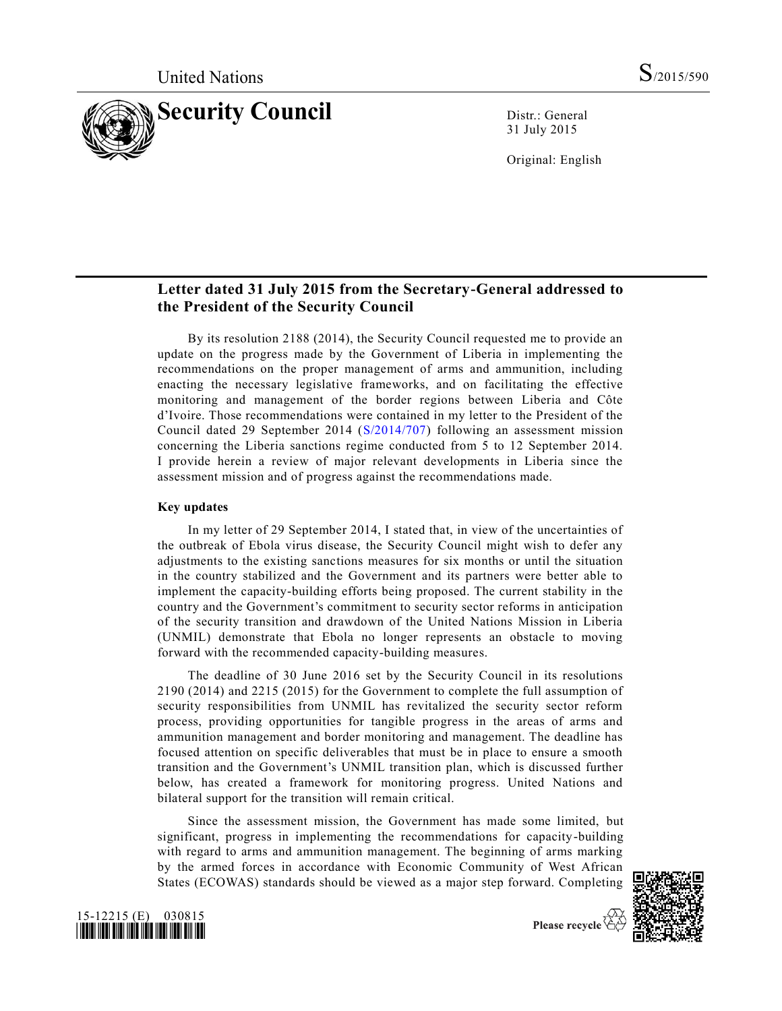

31 July 2015

Original: English

# **Letter dated 31 July 2015 from the Secretary-General addressed to the President of the Security Council**

By its resolution 2188 (2014), the Security Council requested me to provide an update on the progress made by the Government of Liberia in implementing the recommendations on the proper management of arms and ammunition, including enacting the necessary legislative frameworks, and on facilitating the effective monitoring and management of the border regions between Liberia and Côte d'Ivoire. Those recommendations were contained in my letter to the President of the Council dated 29 September 2014 [\(S/2014/707\)](http://undocs.org/S/2014/707) following an assessment mission concerning the Liberia sanctions regime conducted from 5 to 12 September 2014. I provide herein a review of major relevant developments in Liberia since the assessment mission and of progress against the recommendations made.

### **Key updates**

In my letter of 29 September 2014, I stated that, in view of the uncertainties of the outbreak of Ebola virus disease, the Security Council might wish to defer any adjustments to the existing sanctions measures for six months or until the situation in the country stabilized and the Government and its partners were better able to implement the capacity-building efforts being proposed. The current stability in the country and the Government's commitment to security sector reforms in anticipation of the security transition and drawdown of the United Nations Mission in Liberia (UNMIL) demonstrate that Ebola no longer represents an obstacle to moving forward with the recommended capacity-building measures.

The deadline of 30 June 2016 set by the Security Council in its resolutions 2190 (2014) and 2215 (2015) for the Government to complete the full assumption of security responsibilities from UNMIL has revitalized the security sector reform process, providing opportunities for tangible progress in the areas of arms and ammunition management and border monitoring and management. The deadline has focused attention on specific deliverables that must be in place to ensure a smooth transition and the Government's UNMIL transition plan, which is discussed further below, has created a framework for monitoring progress. United Nations and bilateral support for the transition will remain critical.

Since the assessment mission, the Government has made some limited, but significant, progress in implementing the recommendations for capacity-building with regard to arms and ammunition management. The beginning of arms marking by the armed forces in accordance with Economic Community of West African States (ECOWAS) standards should be viewed as a major step forward. Completing



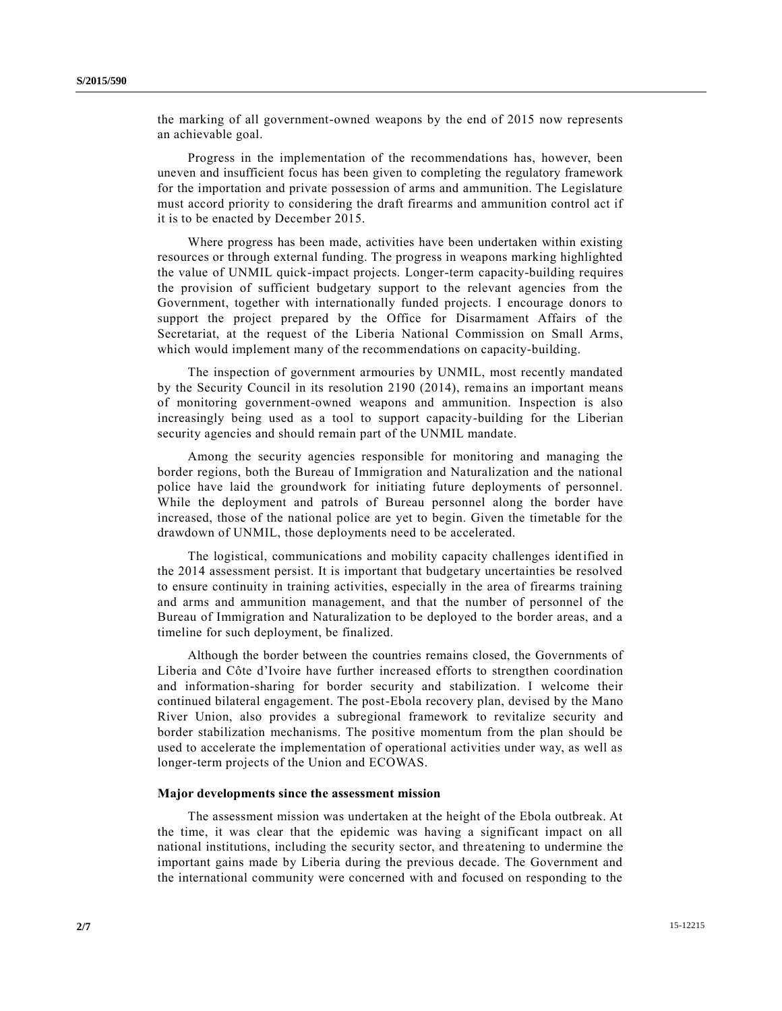the marking of all government-owned weapons by the end of 2015 now represents an achievable goal.

Progress in the implementation of the recommendations has, however, been uneven and insufficient focus has been given to completing the regulatory framework for the importation and private possession of arms and ammunition. The Legislature must accord priority to considering the draft firearms and ammunition control act if it is to be enacted by December 2015.

Where progress has been made, activities have been undertaken within existing resources or through external funding. The progress in weapons marking highlighted the value of UNMIL quick-impact projects. Longer-term capacity-building requires the provision of sufficient budgetary support to the relevant agencies from the Government, together with internationally funded projects. I encourage donors to support the project prepared by the Office for Disarmament Affairs of the Secretariat, at the request of the Liberia National Commission on Small Arms, which would implement many of the recommendations on capacity-building.

The inspection of government armouries by UNMIL, most recently mandated by the Security Council in its resolution 2190 (2014), rema ins an important means of monitoring government-owned weapons and ammunition. Inspection is also increasingly being used as a tool to support capacity-building for the Liberian security agencies and should remain part of the UNMIL mandate.

Among the security agencies responsible for monitoring and managing the border regions, both the Bureau of Immigration and Naturalization and the national police have laid the groundwork for initiating future deployments of personnel. While the deployment and patrols of Bureau personnel along the border have increased, those of the national police are yet to begin. Given the timetable for the drawdown of UNMIL, those deployments need to be accelerated.

The logistical, communications and mobility capacity challenges identified in the 2014 assessment persist. It is important that budgetary uncertainties be resolved to ensure continuity in training activities, especially in the area of firearms training and arms and ammunition management, and that the number of personnel of the Bureau of Immigration and Naturalization to be deployed to the border areas, and a timeline for such deployment, be finalized.

Although the border between the countries remains closed, the Governments of Liberia and Côte d'Ivoire have further increased efforts to strengthen coordination and information-sharing for border security and stabilization. I welcome their continued bilateral engagement. The post-Ebola recovery plan, devised by the Mano River Union, also provides a subregional framework to revitalize security and border stabilization mechanisms. The positive momentum from the plan should be used to accelerate the implementation of operational activities under way, as well as longer-term projects of the Union and ECOWAS.

#### **Major developments since the assessment mission**

The assessment mission was undertaken at the height of the Ebola outbreak. At the time, it was clear that the epidemic was having a significant impact on all national institutions, including the security sector, and threatening to undermine the important gains made by Liberia during the previous decade. The Government and the international community were concerned with and focused on responding to the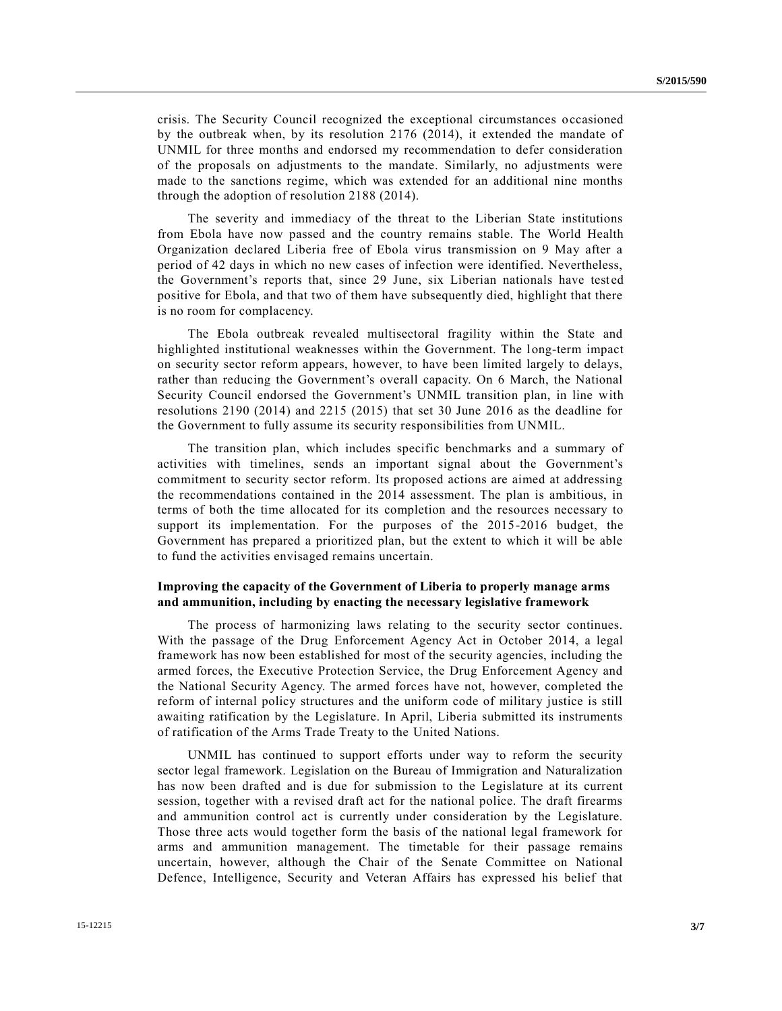crisis. The Security Council recognized the exceptional circumstances occasioned by the outbreak when, by its resolution 2176 (2014), it extended the mandate of UNMIL for three months and endorsed my recommendation to defer consideration of the proposals on adjustments to the mandate. Similarly, no adjustments were made to the sanctions regime, which was extended for an additional nine months through the adoption of resolution 2188 (2014).

The severity and immediacy of the threat to the Liberian State institutions from Ebola have now passed and the country remains stable. The World Health Organization declared Liberia free of Ebola virus transmission on 9 May after a period of 42 days in which no new cases of infection were identified. Nevertheless, the Government's reports that, since 29 June, six Liberian nationals have tested positive for Ebola, and that two of them have subsequently died, highlight that there is no room for complacency.

The Ebola outbreak revealed multisectoral fragility within the State and highlighted institutional weaknesses within the Government. The long-term impact on security sector reform appears, however, to have been limited largely to delays, rather than reducing the Government's overall capacity. On 6 March, the National Security Council endorsed the Government's UNMIL transition plan, in line with resolutions 2190 (2014) and 2215 (2015) that set 30 June 2016 as the deadline for the Government to fully assume its security responsibilities from UNMIL.

The transition plan, which includes specific benchmarks and a summary of activities with timelines, sends an important signal about the Government's commitment to security sector reform. Its proposed actions are aimed at addressing the recommendations contained in the 2014 assessment. The plan is ambitious, in terms of both the time allocated for its completion and the resources necessary to support its implementation. For the purposes of the 2015-2016 budget, the Government has prepared a prioritized plan, but the extent to which it will be able to fund the activities envisaged remains uncertain.

## **Improving the capacity of the Government of Liberia to properly manage arms and ammunition, including by enacting the necessary legislative framework**

The process of harmonizing laws relating to the security sector continues. With the passage of the Drug Enforcement Agency Act in October 2014, a legal framework has now been established for most of the security agencies, including the armed forces, the Executive Protection Service, the Drug Enforcement Agency and the National Security Agency. The armed forces have not, however, completed the reform of internal policy structures and the uniform code of military justice is still awaiting ratification by the Legislature. In April, Liberia submitted its instruments of ratification of the Arms Trade Treaty to the United Nations.

UNMIL has continued to support efforts under way to reform the security sector legal framework. Legislation on the Bureau of Immigration and Naturalization has now been drafted and is due for submission to the Legislature at its current session, together with a revised draft act for the national police. The draft firearms and ammunition control act is currently under consideration by the Legislature. Those three acts would together form the basis of the national legal framework for arms and ammunition management. The timetable for their passage remains uncertain, however, although the Chair of the Senate Committee on National Defence, Intelligence, Security and Veteran Affairs has expressed his belief that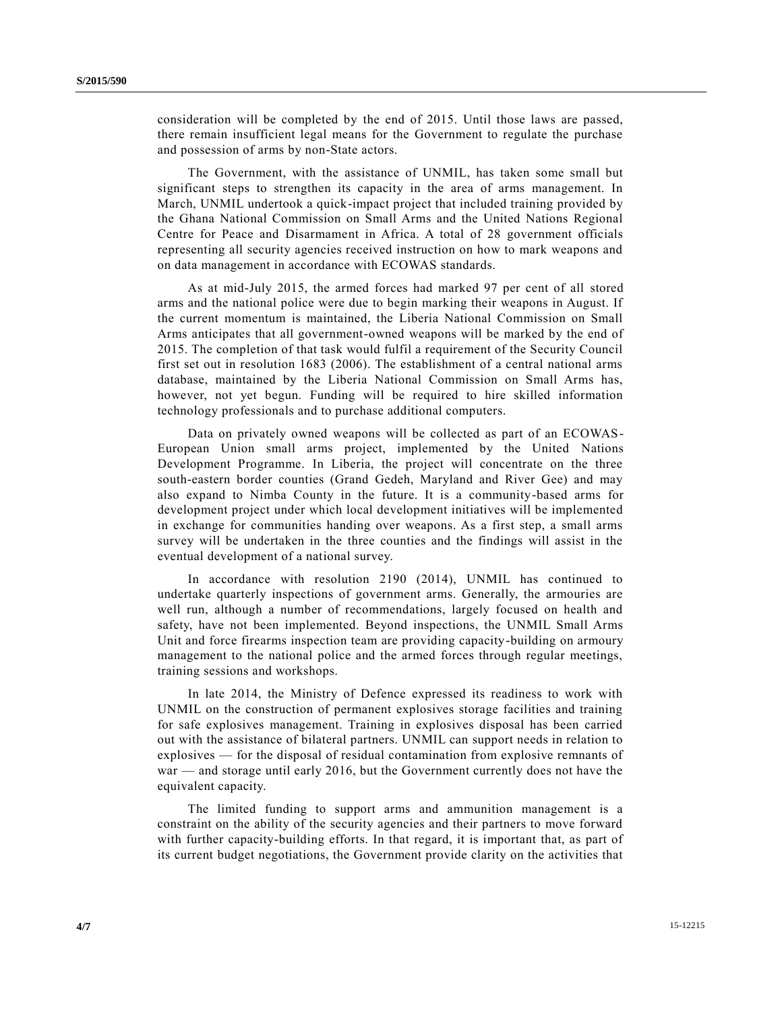consideration will be completed by the end of 2015. Until those laws are passed, there remain insufficient legal means for the Government to regulate the purchase and possession of arms by non-State actors.

The Government, with the assistance of UNMIL, has taken some small but significant steps to strengthen its capacity in the area of arms management. In March, UNMIL undertook a quick-impact project that included training provided by the Ghana National Commission on Small Arms and the United Nations Regional Centre for Peace and Disarmament in Africa. A total of 28 government officials representing all security agencies received instruction on how to mark weapons and on data management in accordance with ECOWAS standards.

As at mid-July 2015, the armed forces had marked 97 per cent of all stored arms and the national police were due to begin marking their weapons in August. If the current momentum is maintained, the Liberia National Commission on Small Arms anticipates that all government-owned weapons will be marked by the end of 2015. The completion of that task would fulfil a requirement of the Security Council first set out in resolution 1683 (2006). The establishment of a central national arms database, maintained by the Liberia National Commission on Small Arms has, however, not yet begun. Funding will be required to hire skilled information technology professionals and to purchase additional computers.

Data on privately owned weapons will be collected as part of an ECOWAS-European Union small arms project, implemented by the United Nations Development Programme. In Liberia, the project will concentrate on the three south-eastern border counties (Grand Gedeh, Maryland and River Gee) and may also expand to Nimba County in the future. It is a community-based arms for development project under which local development initiatives will be implemented in exchange for communities handing over weapons. As a first step, a small arms survey will be undertaken in the three counties and the findings will assist in the eventual development of a national survey.

In accordance with resolution 2190 (2014), UNMIL has continued to undertake quarterly inspections of government arms. Generally, the armouries are well run, although a number of recommendations, largely focused on health and safety, have not been implemented. Beyond inspections, the UNMIL Small Arms Unit and force firearms inspection team are providing capacity-building on armoury management to the national police and the armed forces through regular meetings, training sessions and workshops.

In late 2014, the Ministry of Defence expressed its readiness to work with UNMIL on the construction of permanent explosives storage facilities and training for safe explosives management. Training in explosives disposal has been carried out with the assistance of bilateral partners. UNMIL can support needs in relation to explosives — for the disposal of residual contamination from explosive remnants of war — and storage until early 2016, but the Government currently does not have the equivalent capacity.

The limited funding to support arms and ammunition management is a constraint on the ability of the security agencies and their partners to move forward with further capacity-building efforts. In that regard, it is important that, as part of its current budget negotiations, the Government provide clarity on the activities that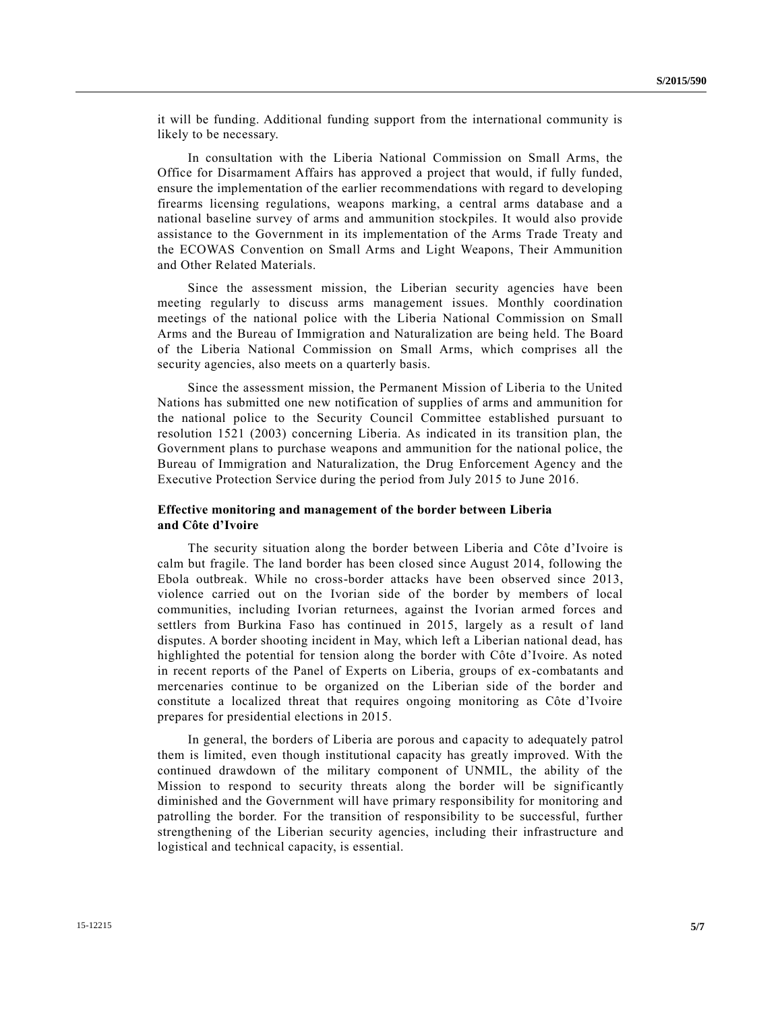it will be funding. Additional funding support from the international community is likely to be necessary.

In consultation with the Liberia National Commission on Small Arms, the Office for Disarmament Affairs has approved a project that would, if fully funded, ensure the implementation of the earlier recommendations with regard to developing firearms licensing regulations, weapons marking, a central arms database and a national baseline survey of arms and ammunition stockpiles. It would also provide assistance to the Government in its implementation of the Arms Trade Treaty and the ECOWAS Convention on Small Arms and Light Weapons, Their Ammunition and Other Related Materials.

Since the assessment mission, the Liberian security agencies have been meeting regularly to discuss arms management issues. Monthly coordination meetings of the national police with the Liberia National Commission on Small Arms and the Bureau of Immigration and Naturalization are being held. The Board of the Liberia National Commission on Small Arms, which comprises all the security agencies, also meets on a quarterly basis.

Since the assessment mission, the Permanent Mission of Liberia to the United Nations has submitted one new notification of supplies of arms and ammunition for the national police to the Security Council Committee established pursuant to resolution 1521 (2003) concerning Liberia. As indicated in its transition plan, the Government plans to purchase weapons and ammunition for the national police, the Bureau of Immigration and Naturalization, the Drug Enforcement Agency and the Executive Protection Service during the period from July 2015 to June 2016.

### **Effective monitoring and management of the border between Liberia and Côte d'Ivoire**

The security situation along the border between Liberia and Côte d'Ivoire is calm but fragile. The land border has been closed since August 2014, following the Ebola outbreak. While no cross-border attacks have been observed since 2013, violence carried out on the Ivorian side of the border by members of local communities, including Ivorian returnees, against the Ivorian armed forces and settlers from Burkina Faso has continued in 2015, largely as a result of land disputes. A border shooting incident in May, which left a Liberian national dead, has highlighted the potential for tension along the border with Côte d'Ivoire. As noted in recent reports of the Panel of Experts on Liberia, groups of ex-combatants and mercenaries continue to be organized on the Liberian side of the border and constitute a localized threat that requires ongoing monitoring as Côte d'Ivoire prepares for presidential elections in 2015.

In general, the borders of Liberia are porous and capacity to adequately patrol them is limited, even though institutional capacity has greatly improved. With the continued drawdown of the military component of UNMIL, the ability of the Mission to respond to security threats along the border will be significantly diminished and the Government will have primary responsibility for monitoring and patrolling the border. For the transition of responsibility to be successful, further strengthening of the Liberian security agencies, including their infrastructure and logistical and technical capacity, is essential.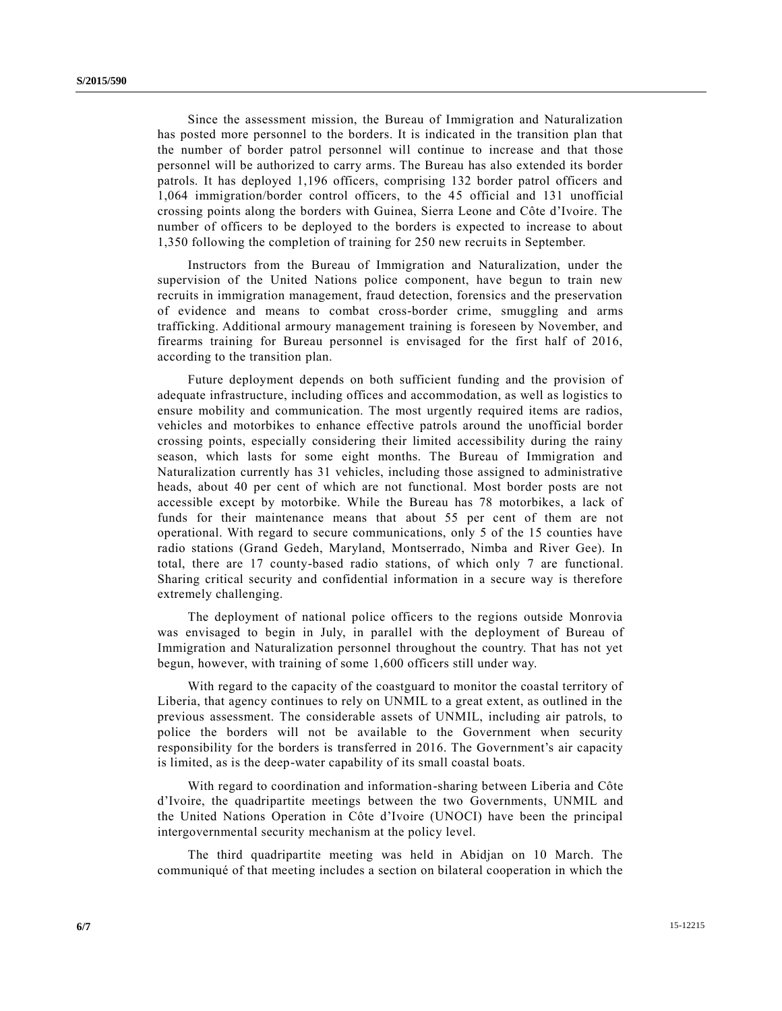Since the assessment mission, the Bureau of Immigration and Naturalization has posted more personnel to the borders. It is indicated in the transition plan that the number of border patrol personnel will continue to increase and that those personnel will be authorized to carry arms. The Bureau has also extended its border patrols. It has deployed 1,196 officers, comprising 132 border patrol officers and 1,064 immigration/border control officers, to the 45 official and 131 unofficial crossing points along the borders with Guinea, Sierra Leone and Côte d'Ivoire. The number of officers to be deployed to the borders is expected to increase to about 1,350 following the completion of training for 250 new recruits in September.

Instructors from the Bureau of Immigration and Naturalization, under the supervision of the United Nations police component, have begun to train new recruits in immigration management, fraud detection, forensics and the preservation of evidence and means to combat cross-border crime, smuggling and arms trafficking. Additional armoury management training is foreseen by November, and firearms training for Bureau personnel is envisaged for the first half of 2016, according to the transition plan.

Future deployment depends on both sufficient funding and the provision of adequate infrastructure, including offices and accommodation, as well as logistics to ensure mobility and communication. The most urgently required items are radios, vehicles and motorbikes to enhance effective patrols around the unofficial border crossing points, especially considering their limited accessibility during the rainy season, which lasts for some eight months. The Bureau of Immigration and Naturalization currently has 31 vehicles, including those assigned to administrative heads, about 40 per cent of which are not functional. Most border posts are not accessible except by motorbike. While the Bureau has 78 motorbikes, a lack of funds for their maintenance means that about 55 per cent of them are not operational. With regard to secure communications, only 5 of the 15 counties have radio stations (Grand Gedeh, Maryland, Montserrado, Nimba and River Gee). In total, there are 17 county-based radio stations, of which only 7 are functional. Sharing critical security and confidential information in a secure way is therefore extremely challenging.

The deployment of national police officers to the regions outside Monrovia was envisaged to begin in July, in parallel with the deployment of Bureau of Immigration and Naturalization personnel throughout the country. That has not yet begun, however, with training of some 1,600 officers still under way.

With regard to the capacity of the coastguard to monitor the coastal territory of Liberia, that agency continues to rely on UNMIL to a great extent, as outlined in the previous assessment. The considerable assets of UNMIL, including air patrols, to police the borders will not be available to the Government when security responsibility for the borders is transferred in 2016. The Government's air capacity is limited, as is the deep-water capability of its small coastal boats.

With regard to coordination and information-sharing between Liberia and Côte d'Ivoire, the quadripartite meetings between the two Governments, UNMIL and the United Nations Operation in Côte d'Ivoire (UNOCI) have been the principal intergovernmental security mechanism at the policy level.

The third quadripartite meeting was held in Abidjan on 10 March. The communiqué of that meeting includes a section on bilateral cooperation in which the